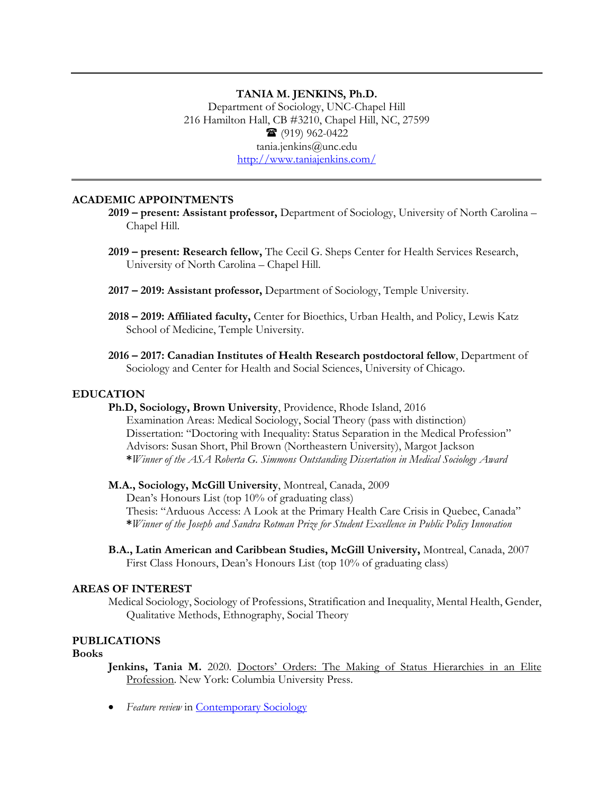# **TANIA M. JENKINS, Ph.D.**

Department of Sociology, UNC-Chapel Hill 216 Hamilton Hall, CB #3210, Chapel Hill, NC, 27599  $\bullet$  (919) 962-0422 tania.jenkins@unc.edu <http://www.taniajenkins.com/>

# **ACADEMIC APPOINTMENTS**

- **2019 present: Assistant professor,** Department of Sociology, University of North Carolina Chapel Hill.
- **2019 present: Research fellow,** The Cecil G. Sheps Center for Health Services Research, University of North Carolina – Chapel Hill.
- **2017 2019: Assistant professor,** Department of Sociology, Temple University.
- **2018 2019: Affiliated faculty,** Center for Bioethics, Urban Health, and Policy, Lewis Katz School of Medicine, Temple University.
- **2016 2017: Canadian Institutes of Health Research postdoctoral fellow**, Department of Sociology and Center for Health and Social Sciences, University of Chicago.

## **EDUCATION**

**Ph.D, Sociology, Brown University**, Providence, Rhode Island, 2016

Examination Areas: Medical Sociology, Social Theory (pass with distinction) Dissertation: "Doctoring with Inequality: Status Separation in the Medical Profession" Advisors: Susan Short, Phil Brown (Northeastern University), Margot Jackson **\****Winner of the ASA Roberta G. Simmons Outstanding Dissertation in Medical Sociology Award* 

#### **M.A., Sociology, McGill University**, Montreal, Canada, 2009

Dean's Honours List (top 10% of graduating class) Thesis: "Arduous Access: A Look at the Primary Health Care Crisis in Quebec, Canada" **\****Winner of the Joseph and Sandra Rotman Prize for Student Excellence in Public Policy Innovation* 

**B.A., Latin American and Caribbean Studies, McGill University,** Montreal, Canada, 2007 First Class Honours, Dean's Honours List (top 10% of graduating class)

## **AREAS OF INTEREST**

Medical Sociology, Sociology of Professions, Stratification and Inequality, Mental Health, Gender, Qualitative Methods, Ethnography, Social Theory

# **PUBLICATIONS**

#### **Books**

Jenkins, Tania M. 2020. Doctors' Orders: The Making of Status Hierarchies in an Elite Profession. New York: Columbia University Press.

• *Feature review* in **Contemporary Sociology**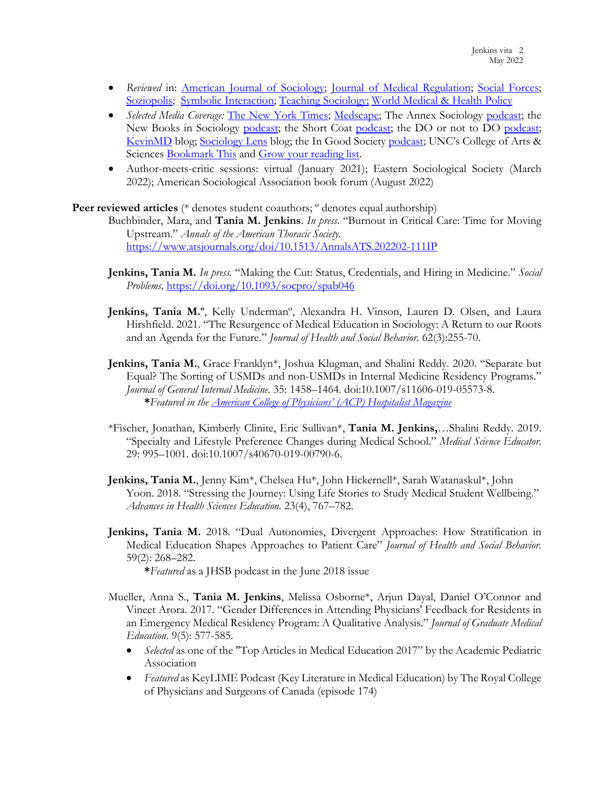- *Reviewed* in: [American Journal of Sociology;](https://www-journals-uchicago-edu.libproxy.lib.unc.edu/doi/10.1086/714006) Journal of [Medical Regulation;](https://meridian.allenpress.com/jmr/article/107/2/65/469714/Doctors-Orders-The-Making-of-Status-Hierarchies-in) [Social Forces;](https://doi.org/10.1093/sf/soaa100) [Soziopolis;](https://www.soziopolis.de/unterwegs-mit-angehenden-aerztinnen.html) [Symbolic Interaction;](https://onlinelibrary.wiley.com/doi/abs/10.1002/symb.580) [Teaching Sociology;](https://journals.sagepub.com/doi/abs/10.1177/0092055X211063330) [World Medical & Health Policy](https://t.co/amkSflupXe)
- *Selected Media Coverage:* [The New York Times;](https://www.nytimes.com/2021/06/29/health/caribbean-medical-school.html?referringSource=articleShare) [Medscape;](https://www.medscape.com/viewarticle/953675#vp_1) The Annex Sociology [podcast;](https://queenspodcastlab.org/podcast/inequality-among-doctors-tania-jenkins/) the New Books in Sociology [podcast;](https://www.doordonotpodcast.com/podcast/episode/492e5003/episode-58-dr-tania-jenkins-assistant-professor-of-sociology-at-unc-chapel-hill-author-of-doctors-orders-the-making-of-status-hierarchies-in-an-elite-profession) the Short Coat [podcast;](https://theshortcoat.us10.list-manage.com/track/click?u=c4257c5ccb68e90756245c27d&id=0e677ffe49&e=14f4aaef14) the DO or not to DO podcast; [KevinMD](https://www.kevinmd.com/blog/2020/07/how-the-united-states-depends-on-doctors-trained-in-other-countries.html) blog; [Sociology Lens](https://www.sociologylens.net/topics/organisations-and-work/doctors-orders-sociology-lens-qa/32208) blog; the In Good Society [podcast;](https://anchor.fm/ingoodsociety/episodes/The-Hidden-Doctor-Hierarchy-evh59j) UNC's College of Arts & Sciences [Bookmark This](https://college.unc.edu/2020/11/bookmark-this-jenkins/) and Grow your reading list.
- Author-meets-critic sessions: virtual (January 2021); Eastern Sociological Society (March 2022); American Sociological Association book forum (August 2022)

**Peer reviewed articles** (\* denotes student coauthors; ° denotes equal authorship)

Buchbinder, Mara, and **Tania M. Jenkins**. *In press*. "Burnout in Critical Care: Time for Moving Upstream." *Annals of the American Thoracic Society.* <https://www.atsjournals.org/doi/10.1513/AnnalsATS.202202-111IP>

- **Jenkins, Tania M.** *In press.* "Making the Cut: Status, Credentials, and Hiring in Medicine." *Social Problems,* <https://doi.org/10.1093/socpro/spab046>
- Jenkins, Tania M.º, Kelly Underman<sup>o</sup>, Alexandra H. Vinson, Lauren D. Olsen, and Laura Hirshfield. 2021. "The Resurgence of Medical Education in Sociology: A Return to our Roots and an Agenda for the Future." *Journal of Health and Social Behavior.* 62(3):255-70.
- **Jenkins, Tania M.**, Grace Franklyn\*, Joshua Klugman, and Shalini Reddy. 2020. "Separate but Equal? The Sorting of USMDs and non-USMDs in Internal Medicine Residency Programs." *Journal of General Internal Medicine.* 35: 1458–1464. doi:10.1007/s11606-019-05573-8. **\****Featured in the [American College of Physicians' \(ACP\) Hospitalist Magazine](https://www.acphospitalist.org/archives/2020/06/qa-prior-training-varies-by-residency-program.htm)*
- \*Fischer, Jonathan, Kimberly Clinite, Eric Sullivan\*, **Tania M. Jenkins,**…Shalini Reddy. 2019. "Specialty and Lifestyle Preference Changes during Medical School." *Medical Science Educator*. 29: 995–1001. doi:10.1007/s40670-019-00790-6.
- **Jenkins, Tania M.**, Jenny Kim\*, Chelsea Hu\*, John Hickernell\*, Sarah Watanaskul\*, John Yoon. 2018. "Stressing the Journey: Using Life Stories to Study Medical Student Wellbeing." *Advances in Health Sciences Education.* 23(4), 767–782.
- **Jenkins, Tania M.** 2018*.* "Dual Autonomies, Divergent Approaches: How Stratification in Medical Education Shapes Approaches to Patient Care" *Journal of Health and Social Behavior.* 59(2): 268–282.

**\****Featured* as a JHSB podcast in the June 2018 issue

- Mueller, Anna S., **Tania M. Jenkins**, Melissa Osborne\*, Arjun Dayal, Daniel O'Connor and Vineet Arora. 2017. "Gender Differences in Attending Physicians' Feedback for Residents in an Emergency Medical Residency Program: A Qualitative Analysis." *Journal of Graduate Medical Education*. 9(5): 577-585.
	- *Selected* as one of the "Top Articles in Medical Education 2017" by the Academic Pediatric Association
	- *Featured* as KeyLIME Podcast (Key Literature in Medical Education) by The Royal College of Physicians and Surgeons of Canada (episode 174)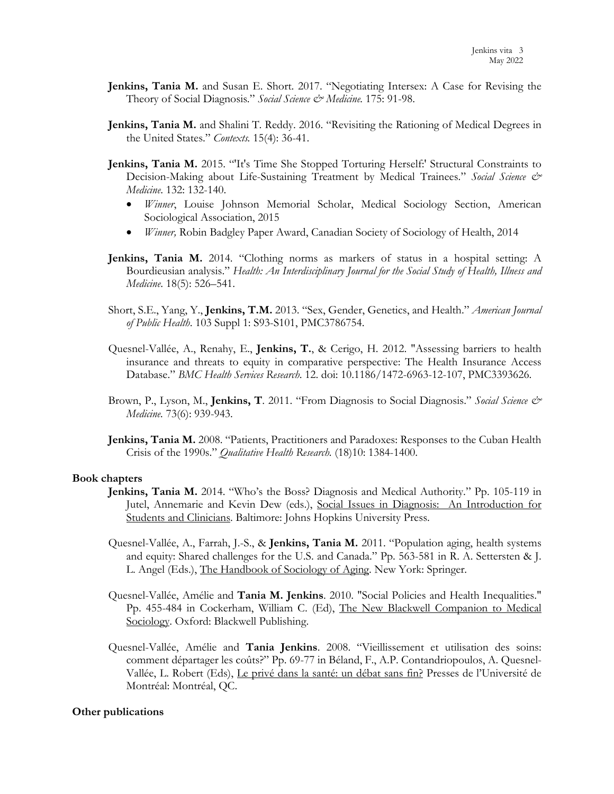- **Jenkins, Tania M.** and Susan E. Short. 2017. "Negotiating Intersex: A Case for Revising the Theory of Social Diagnosis." *Social Science & Medicine.* 175: 91-98.
- **Jenkins, Tania M.** and Shalini T. Reddy. 2016. "Revisiting the Rationing of Medical Degrees in the United States." *Contexts.* 15(4): 36-41.
- **Jenkins, Tania M.** 2015. "'It's Time She Stopped Torturing Herself:' Structural Constraints to Decision-Making about Life-Sustaining Treatment by Medical Trainees." *Social Science & Medicine*. 132: 132-140.
	- *Winner*, Louise Johnson Memorial Scholar, Medical Sociology Section, American Sociological Association, 2015
	- *Winner,* Robin Badgley Paper Award, Canadian Society of Sociology of Health, 2014
- **Jenkins, Tania M.** 2014. "Clothing norms as markers of status in a hospital setting: A Bourdieusian analysis." *Health: An Interdisciplinary Journal for the Social Study of Health, Illness and Medicine*. 18(5): 526–541.
- Short, S.E., Yang, Y., **Jenkins, T.M.** 2013. "Sex, Gender, Genetics, and Health." *American Journal of Public Health*. 103 Suppl 1: S93-S101, PMC3786754.
- Quesnel-Vallée, A., Renahy, E., **Jenkins, T.**, & Cerigo, H. 2012. "Assessing barriers to health insurance and threats to equity in comparative perspective: The Health Insurance Access Database." *BMC Health Services Research*. 12. doi: 10.1186/1472-6963-12-107, PMC3393626.
- Brown, P., Lyson, M., **Jenkins, T**. 2011. "From Diagnosis to Social Diagnosis." *Social Science & Medicine.* 73(6): 939-943.
- **Jenkins, Tania M.** 2008. "Patients, Practitioners and Paradoxes: Responses to the Cuban Health Crisis of the 1990s." *Qualitative Health Research.* (18)10: 1384-1400.

#### **Book chapters**

- **Jenkins, Tania M.** 2014. "Who's the Boss? Diagnosis and Medical Authority." Pp. 105-119 in Jutel, Annemarie and Kevin Dew (eds.), Social Issues in Diagnosis: An Introduction for Students and Clinicians. Baltimore: Johns Hopkins University Press.
- Quesnel-Vallée, A., Farrah, J.-S., & **Jenkins, Tania M.** 2011. "Population aging, health systems and equity: Shared challenges for the U.S. and Canada." Pp. 563-581 in R. A. Settersten & J. L. Angel (Eds.), The Handbook of Sociology of Aging. New York: Springer.
- Quesnel-Vallée, Amélie and **Tania M. Jenkins**. 2010. "Social Policies and Health Inequalities." Pp. 455-484 in Cockerham, William C. (Ed), The New Blackwell Companion to Medical Sociology. Oxford: Blackwell Publishing.
- Quesnel-Vallée, Amélie and **Tania Jenkins**. 2008. "Vieillissement et utilisation des soins: comment départager les coûts?" Pp. 69-77 in Béland, F., A.P. Contandriopoulos, A. Quesnel-Vallée, L. Robert (Eds), Le privé dans la santé: un débat sans fin? Presses de l'Université de Montréal: Montréal, QC.

#### **Other publications**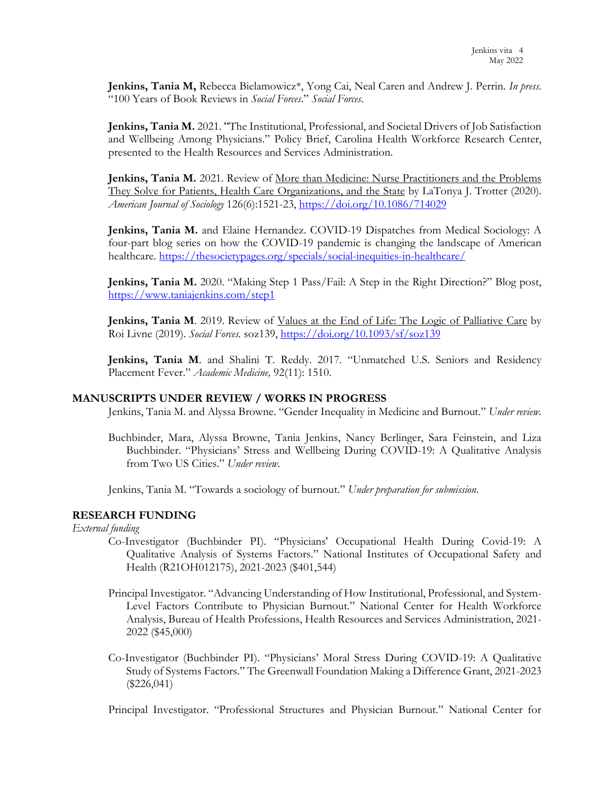**Jenkins, Tania M,** Rebecca Bielamowicz\*, Yong Cai, Neal Caren and Andrew J. Perrin. *In press*. "100 Years of Book Reviews in *Social Forces*." *Social Forces*.

**Jenkins, Tania M.** 2021. "The Institutional, Professional, and Societal Drivers of Job Satisfaction and Wellbeing Among Physicians." Policy Brief, Carolina Health Workforce Research Center, presented to the Health Resources and Services Administration.

**Jenkins, Tania M.** 2021. Review of More than Medicine: Nurse Practitioners and the Problems They Solve for Patients, Health Care Organizations, and the State by LaTonya J. Trotter (2020). *American Journal of Sociology* 126(6):1521-23,<https://doi.org/10.1086/714029>

**Jenkins, Tania M.** and Elaine Hernandez. COVID-19 Dispatches from Medical Sociology: A four-part blog series on how the COVID-19 pandemic is changing the landscape of American healthcare.<https://thesocietypages.org/specials/social-inequities-in-healthcare/>

**Jenkins, Tania M.** 2020. "Making Step 1 Pass/Fail: A Step in the Right Direction?" Blog post, <https://www.taniajenkins.com/step1>

**Jenkins, Tania M**. 2019. Review of Values at the End of Life: The Logic of Palliative Care by Roi Livne (2019). *Social Forces.* soz139,<https://doi.org/10.1093/sf/soz139>

**Jenkins, Tania M**. and Shalini T. Reddy. 2017. "Unmatched U.S. Seniors and Residency Placement Fever." *Academic Medicine,* 92(11): 1510.

## **MANUSCRIPTS UNDER REVIEW / WORKS IN PROGRESS**

Jenkins, Tania M. and Alyssa Browne. "Gender Inequality in Medicine and Burnout." *Under review.* 

Buchbinder, Mara, Alyssa Browne, Tania Jenkins, Nancy Berlinger, Sara Feinstein, and Liza Buchbinder. "Physicians' Stress and Wellbeing During COVID-19: A Qualitative Analysis from Two US Cities." *Under review.* 

Jenkins, Tania M. "Towards a sociology of burnout." *Under preparation for submission*.

# **RESEARCH FUNDING**

*External funding* 

- Co-Investigator (Buchbinder PI). "Physicians' Occupational Health During Covid-19: A Qualitative Analysis of Systems Factors." National Institutes of Occupational Safety and Health (R21OH012175), 2021-2023 (\$401,544)
- Principal Investigator. "Advancing Understanding of How Institutional, Professional, and System-Level Factors Contribute to Physician Burnout." National Center for Health Workforce Analysis, Bureau of Health Professions, Health Resources and Services Administration, 2021- 2022 (\$45,000)
- Co-Investigator (Buchbinder PI). "Physicians' Moral Stress During COVID-19: A Qualitative Study of Systems Factors." The Greenwall Foundation Making a Difference Grant, 2021-2023 (\$226,041)

Principal Investigator. "Professional Structures and Physician Burnout." National Center for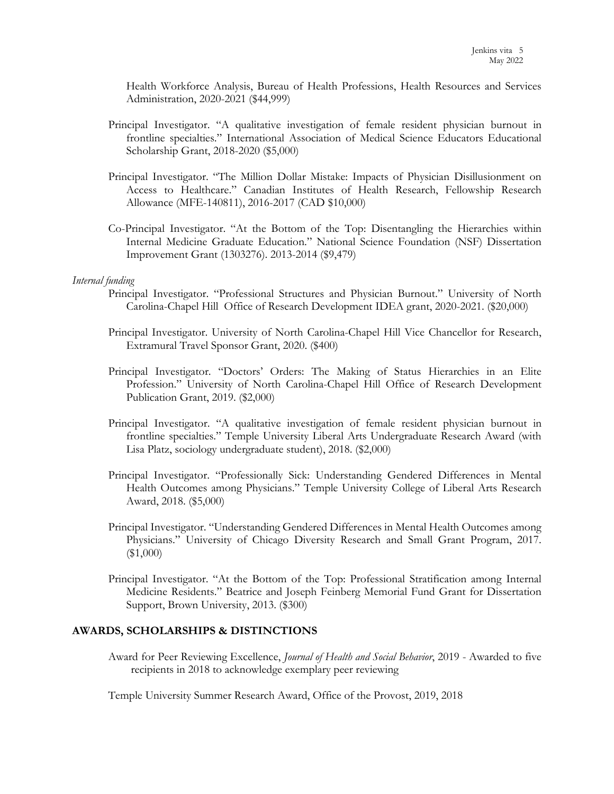Health Workforce Analysis, Bureau of Health Professions, Health Resources and Services Administration, 2020-2021 (\$44,999)

- Principal Investigator. "A qualitative investigation of female resident physician burnout in frontline specialties." International Association of Medical Science Educators Educational Scholarship Grant, 2018-2020 (\$5,000)
- Principal Investigator. "The Million Dollar Mistake: Impacts of Physician Disillusionment on Access to Healthcare." Canadian Institutes of Health Research, Fellowship Research Allowance (MFE-140811), 2016-2017 (CAD \$10,000)
- Co-Principal Investigator. "At the Bottom of the Top: Disentangling the Hierarchies within Internal Medicine Graduate Education." National Science Foundation (NSF) Dissertation Improvement Grant (1303276). 2013-2014 (\$9,479)

## *Internal funding*

- Principal Investigator. "Professional Structures and Physician Burnout." University of North Carolina-Chapel Hill Office of Research Development IDEA grant, 2020-2021. (\$20,000)
- Principal Investigator. University of North Carolina-Chapel Hill Vice Chancellor for Research, Extramural Travel Sponsor Grant, 2020. (\$400)
- Principal Investigator. "Doctors' Orders: The Making of Status Hierarchies in an Elite Profession." University of North Carolina-Chapel Hill Office of Research Development Publication Grant, 2019. (\$2,000)
- Principal Investigator. "A qualitative investigation of female resident physician burnout in frontline specialties." Temple University Liberal Arts Undergraduate Research Award (with Lisa Platz, sociology undergraduate student), 2018. (\$2,000)
- Principal Investigator. "Professionally Sick: Understanding Gendered Differences in Mental Health Outcomes among Physicians." Temple University College of Liberal Arts Research Award, 2018. (\$5,000)
- Principal Investigator. "Understanding Gendered Differences in Mental Health Outcomes among Physicians." University of Chicago Diversity Research and Small Grant Program, 2017. (\$1,000)
- Principal Investigator. "At the Bottom of the Top: Professional Stratification among Internal Medicine Residents." Beatrice and Joseph Feinberg Memorial Fund Grant for Dissertation Support, Brown University, 2013. (\$300)

## **AWARDS, SCHOLARSHIPS & DISTINCTIONS**

Award for Peer Reviewing Excellence, *Journal of Health and Social Behavior*, 2019 - Awarded to five recipients in 2018 to acknowledge exemplary peer reviewing

Temple University Summer Research Award, Office of the Provost, 2019, 2018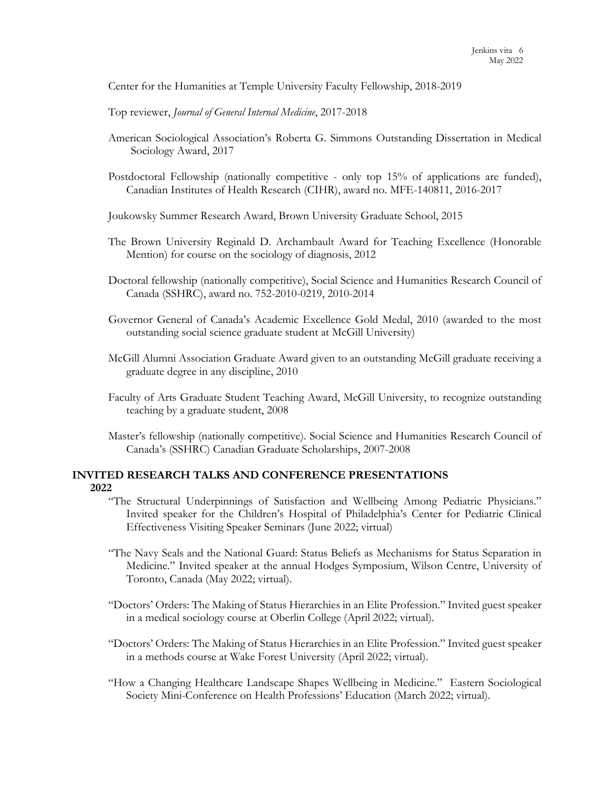Center for the Humanities at Temple University Faculty Fellowship, 2018-2019

Top reviewer, *Journal of General Internal Medicine*, 2017-2018

- American Sociological Association's Roberta G. Simmons Outstanding Dissertation in Medical Sociology Award, 2017
- Postdoctoral Fellowship (nationally competitive only top 15% of applications are funded), Canadian Institutes of Health Research (CIHR), award no. MFE-140811, 2016-2017

Joukowsky Summer Research Award, Brown University Graduate School, 2015

- The Brown University Reginald D. Archambault Award for Teaching Excellence (Honorable Mention) for course on the sociology of diagnosis, 2012
- Doctoral fellowship (nationally competitive), Social Science and Humanities Research Council of Canada (SSHRC), award no. 752-2010-0219, 2010-2014
- Governor General of Canada's Academic Excellence Gold Medal, 2010 (awarded to the most outstanding social science graduate student at McGill University)
- McGill Alumni Association Graduate Award given to an outstanding McGill graduate receiving a graduate degree in any discipline, 2010
- Faculty of Arts Graduate Student Teaching Award, McGill University, to recognize outstanding teaching by a graduate student, 2008
- Master's fellowship (nationally competitive). Social Science and Humanities Research Council of Canada's (SSHRC) Canadian Graduate Scholarships, 2007-2008

# **INVITED RESEARCH TALKS AND CONFERENCE PRESENTATIONS 2022**

- "The Structural Underpinnings of Satisfaction and Wellbeing Among Pediatric Physicians." Invited speaker for the Children's Hospital of Philadelphia's Center for Pediatric Clinical Effectiveness Visiting Speaker Seminars (June 2022; virtual)
- "The Navy Seals and the National Guard: Status Beliefs as Mechanisms for Status Separation in Medicine." Invited speaker at the annual Hodges Symposium, Wilson Centre, University of Toronto, Canada (May 2022; virtual).
- "Doctors' Orders: The Making of Status Hierarchies in an Elite Profession." Invited guest speaker in a medical sociology course at Oberlin College (April 2022; virtual).
- "Doctors' Orders: The Making of Status Hierarchies in an Elite Profession." Invited guest speaker in a methods course at Wake Forest University (April 2022; virtual).
- "How a Changing Healthcare Landscape Shapes Wellbeing in Medicine." Eastern Sociological Society Mini-Conference on Health Professions' Education (March 2022; virtual).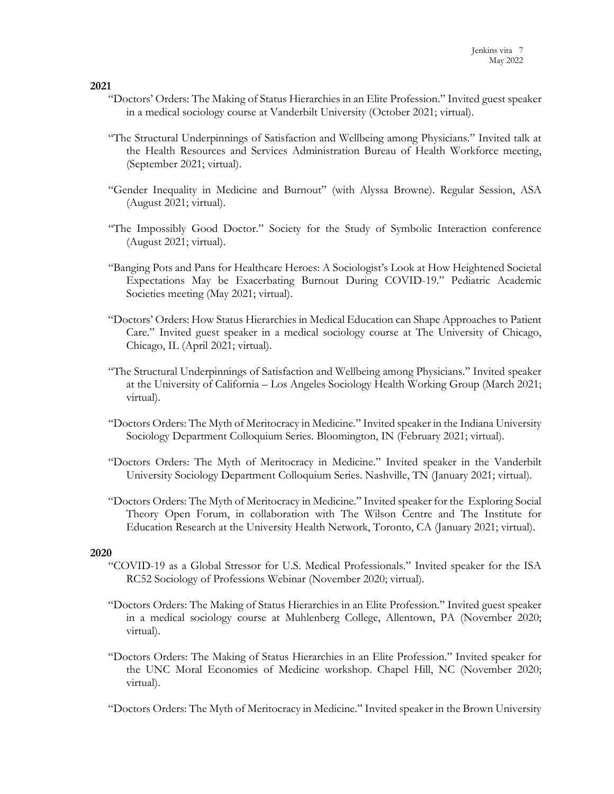- "Doctors' Orders: The Making of Status Hierarchies in an Elite Profession." Invited guest speaker in a medical sociology course at Vanderbilt University (October 2021; virtual).
- "The Structural Underpinnings of Satisfaction and Wellbeing among Physicians." Invited talk at the Health Resources and Services Administration Bureau of Health Workforce meeting, (September 2021; virtual).
- "Gender Inequality in Medicine and Burnout" (with Alyssa Browne). Regular Session, ASA (August 2021; virtual).
- "The Impossibly Good Doctor." Society for the Study of Symbolic Interaction conference (August 2021; virtual).
- "Banging Pots and Pans for Healthcare Heroes: A Sociologist's Look at How Heightened Societal Expectations May be Exacerbating Burnout During COVID-19." Pediatric Academic Societies meeting (May 2021; virtual).
- "Doctors' Orders: How Status Hierarchies in Medical Education can Shape Approaches to Patient Care." Invited guest speaker in a medical sociology course at The University of Chicago, Chicago, IL (April 2021; virtual).
- "The Structural Underpinnings of Satisfaction and Wellbeing among Physicians." Invited speaker at the University of California – Los Angeles Sociology Health Working Group (March 2021; virtual).
- "Doctors Orders: The Myth of Meritocracy in Medicine." Invited speaker in the Indiana University Sociology Department Colloquium Series. Bloomington, IN (February 2021; virtual).
- "Doctors Orders: The Myth of Meritocracy in Medicine." Invited speaker in the Vanderbilt University Sociology Department Colloquium Series. Nashville, TN (January 2021; virtual).
- "Doctors Orders: The Myth of Meritocracy in Medicine." Invited speaker for the Exploring Social Theory Open Forum, in collaboration with The Wilson Centre and The Institute for Education Research at the University Health Network, Toronto, CA (January 2021; virtual).

## **2020**

- "COVID-19 as a Global Stressor for U.S. Medical Professionals." Invited speaker for the ISA RC52 Sociology of Professions Webinar (November 2020; virtual).
- "Doctors Orders: The Making of Status Hierarchies in an Elite Profession." Invited guest speaker in a medical sociology course at Muhlenberg College, Allentown, PA (November 2020; virtual).
- "Doctors Orders: The Making of Status Hierarchies in an Elite Profession." Invited speaker for the UNC Moral Economies of Medicine workshop. Chapel Hill, NC (November 2020; virtual).
- "Doctors Orders: The Myth of Meritocracy in Medicine." Invited speaker in the Brown University

**2021**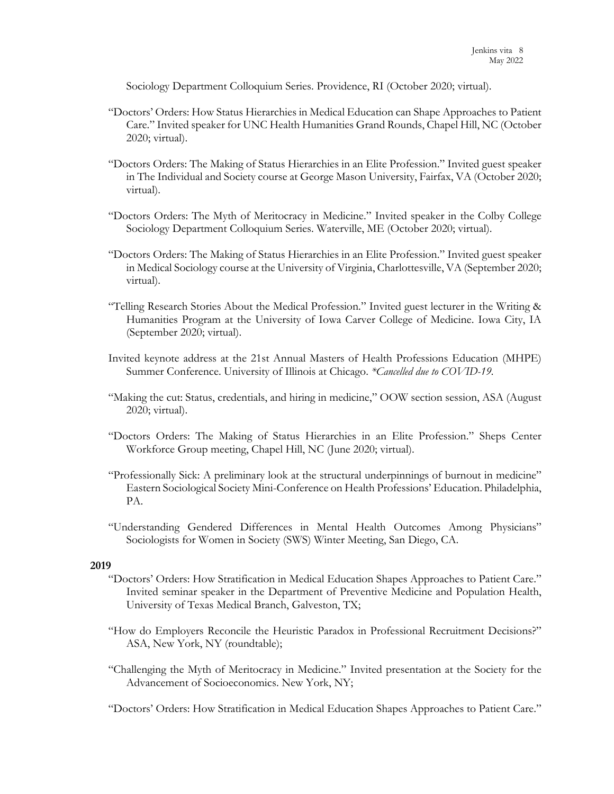Sociology Department Colloquium Series. Providence, RI (October 2020; virtual).

- "Doctors' Orders: How Status Hierarchies in Medical Education can Shape Approaches to Patient Care." Invited speaker for UNC Health Humanities Grand Rounds, Chapel Hill, NC (October 2020; virtual).
- "Doctors Orders: The Making of Status Hierarchies in an Elite Profession." Invited guest speaker in The Individual and Society course at George Mason University, Fairfax, VA (October 2020; virtual).
- "Doctors Orders: The Myth of Meritocracy in Medicine." Invited speaker in the Colby College Sociology Department Colloquium Series. Waterville, ME (October 2020; virtual).
- "Doctors Orders: The Making of Status Hierarchies in an Elite Profession." Invited guest speaker in Medical Sociology course at the University of Virginia, Charlottesville, VA (September 2020; virtual).
- "Telling Research Stories About the Medical Profession." Invited guest lecturer in the Writing & Humanities Program at the University of Iowa Carver College of Medicine. Iowa City, IA (September 2020; virtual).
- Invited keynote address at the 21st Annual Masters of Health Professions Education (MHPE) Summer Conference. University of Illinois at Chicago. *\*Cancelled due to COVID-19.*
- "Making the cut: Status, credentials, and hiring in medicine," OOW section session, ASA (August 2020; virtual).
- "Doctors Orders: The Making of Status Hierarchies in an Elite Profession." Sheps Center Workforce Group meeting, Chapel Hill, NC (June 2020; virtual).
- "Professionally Sick: A preliminary look at the structural underpinnings of burnout in medicine" Eastern Sociological Society Mini-Conference on Health Professions' Education. Philadelphia, PA.
- "Understanding Gendered Differences in Mental Health Outcomes Among Physicians" Sociologists for Women in Society (SWS) Winter Meeting, San Diego, CA.

## **2019**

- "Doctors' Orders: How Stratification in Medical Education Shapes Approaches to Patient Care." Invited seminar speaker in the Department of Preventive Medicine and Population Health, University of Texas Medical Branch, Galveston, TX;
- "How do Employers Reconcile the Heuristic Paradox in Professional Recruitment Decisions?" ASA, New York, NY (roundtable);
- "Challenging the Myth of Meritocracy in Medicine." Invited presentation at the Society for the Advancement of Socioeconomics. New York, NY;
- "Doctors' Orders: How Stratification in Medical Education Shapes Approaches to Patient Care."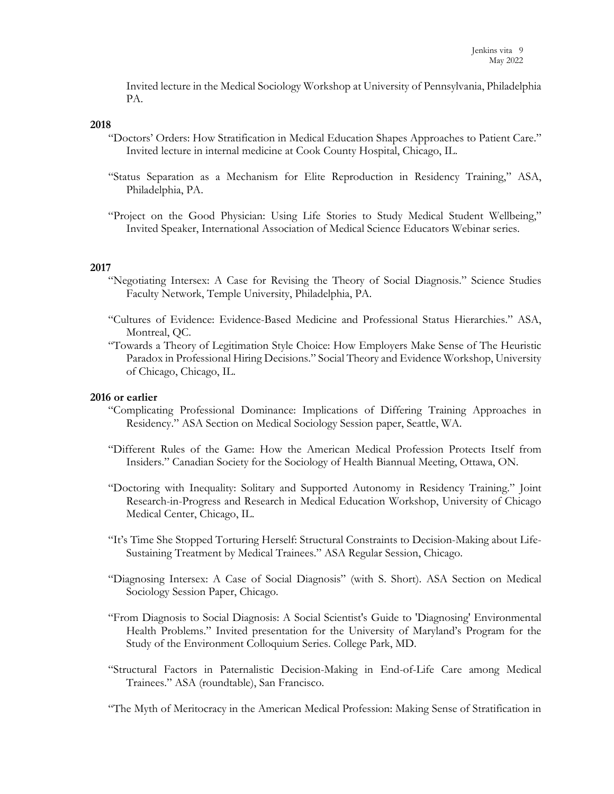Invited lecture in the Medical Sociology Workshop at University of Pennsylvania, Philadelphia PA.

## **2018**

- "Doctors' Orders: How Stratification in Medical Education Shapes Approaches to Patient Care." Invited lecture in internal medicine at Cook County Hospital, Chicago, IL.
- "Status Separation as a Mechanism for Elite Reproduction in Residency Training," ASA, Philadelphia, PA.
- "Project on the Good Physician: Using Life Stories to Study Medical Student Wellbeing," Invited Speaker, International Association of Medical Science Educators Webinar series.

#### **2017**

- "Negotiating Intersex: A Case for Revising the Theory of Social Diagnosis." Science Studies Faculty Network, Temple University, Philadelphia, PA.
- "Cultures of Evidence: Evidence-Based Medicine and Professional Status Hierarchies." ASA, Montreal, QC.
- "Towards a Theory of Legitimation Style Choice: How Employers Make Sense of The Heuristic Paradox in Professional Hiring Decisions." Social Theory and Evidence Workshop, University of Chicago, Chicago, IL.

#### **2016 or earlier**

- "Complicating Professional Dominance: Implications of Differing Training Approaches in Residency." ASA Section on Medical Sociology Session paper, Seattle, WA.
- "Different Rules of the Game: How the American Medical Profession Protects Itself from Insiders." Canadian Society for the Sociology of Health Biannual Meeting, Ottawa, ON.
- "Doctoring with Inequality: Solitary and Supported Autonomy in Residency Training." Joint Research-in-Progress and Research in Medical Education Workshop, University of Chicago Medical Center, Chicago, IL.
- "It's Time She Stopped Torturing Herself: Structural Constraints to Decision-Making about Life-Sustaining Treatment by Medical Trainees." ASA Regular Session, Chicago.
- "Diagnosing Intersex: A Case of Social Diagnosis" (with S. Short). ASA Section on Medical Sociology Session Paper, Chicago.
- "From Diagnosis to Social Diagnosis: A Social Scientist's Guide to 'Diagnosing' Environmental Health Problems." Invited presentation for the University of Maryland's Program for the Study of the Environment Colloquium Series. College Park, MD.
- "Structural Factors in Paternalistic Decision-Making in End-of-Life Care among Medical Trainees." ASA (roundtable), San Francisco.

"The Myth of Meritocracy in the American Medical Profession: Making Sense of Stratification in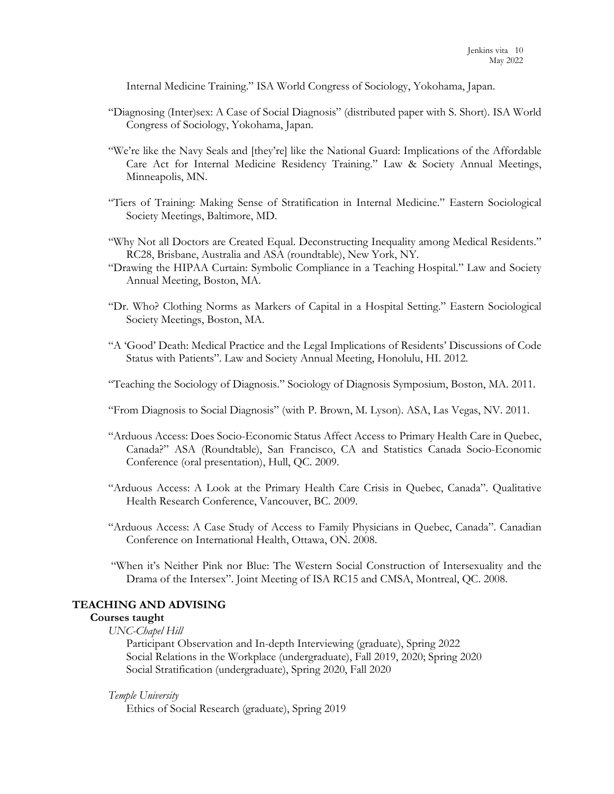Internal Medicine Training." ISA World Congress of Sociology, Yokohama, Japan.

- "Diagnosing (Inter)sex: A Case of Social Diagnosis" (distributed paper with S. Short). ISA World Congress of Sociology, Yokohama, Japan.
- "We're like the Navy Seals and [they're] like the National Guard: Implications of the Affordable Care Act for Internal Medicine Residency Training." Law & Society Annual Meetings, Minneapolis, MN.
- "Tiers of Training: Making Sense of Stratification in Internal Medicine." Eastern Sociological Society Meetings, Baltimore, MD.
- "Why Not all Doctors are Created Equal. Deconstructing Inequality among Medical Residents." RC28, Brisbane, Australia and ASA (roundtable), New York, NY.
- "Drawing the HIPAA Curtain: Symbolic Compliance in a Teaching Hospital." Law and Society Annual Meeting, Boston, MA.
- "Dr. Who? Clothing Norms as Markers of Capital in a Hospital Setting." Eastern Sociological Society Meetings, Boston, MA.
- "A 'Good' Death: Medical Practice and the Legal Implications of Residents' Discussions of Code Status with Patients". Law and Society Annual Meeting, Honolulu, HI. 2012.
- "Teaching the Sociology of Diagnosis." Sociology of Diagnosis Symposium, Boston, MA. 2011.
- "From Diagnosis to Social Diagnosis" (with P. Brown, M. Lyson). ASA, Las Vegas, NV. 2011.
- "Arduous Access: Does Socio-Economic Status Affect Access to Primary Health Care in Quebec, Canada?" ASA (Roundtable), San Francisco, CA and Statistics Canada Socio-Economic Conference (oral presentation), Hull, QC. 2009.
- "Arduous Access: A Look at the Primary Health Care Crisis in Quebec, Canada". Qualitative Health Research Conference, Vancouver, BC. 2009.
- "Arduous Access: A Case Study of Access to Family Physicians in Quebec, Canada". Canadian Conference on International Health, Ottawa, ON. 2008.
- "When it's Neither Pink nor Blue: The Western Social Construction of Intersexuality and the Drama of the Intersex". Joint Meeting of ISA RC15 and CMSA, Montreal, QC. 2008.

## **TEACHING AND ADVISING**

#### **Courses taught**

*UNC-Chapel Hill*

Participant Observation and In-depth Interviewing (graduate), Spring 2022 Social Relations in the Workplace (undergraduate), Fall 2019, 2020; Spring 2020 Social Stratification (undergraduate), Spring 2020, Fall 2020

#### *Temple University*

Ethics of Social Research (graduate), Spring 2019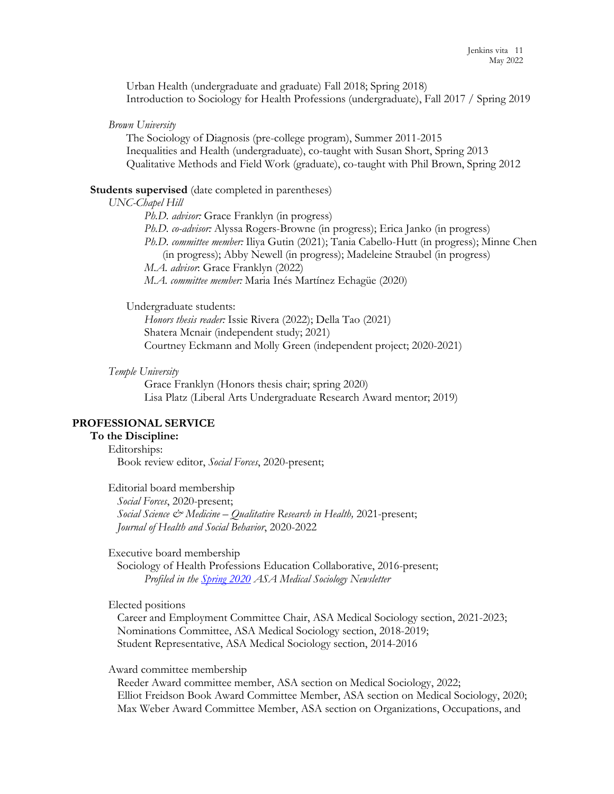Urban Health (undergraduate and graduate) Fall 2018; Spring 2018) Introduction to Sociology for Health Professions (undergraduate), Fall 2017 / Spring 2019

*Brown University* 

The Sociology of Diagnosis (pre-college program), Summer 2011-2015 Inequalities and Health (undergraduate), co-taught with Susan Short, Spring 2013 Qualitative Methods and Field Work (graduate), co-taught with Phil Brown, Spring 2012

#### **Students supervised** (date completed in parentheses)

#### *UNC-Chapel Hill*

*Ph.D. advisor:* Grace Franklyn (in progress) *Ph.D. co-advisor:* Alyssa Rogers-Browne (in progress); Erica Janko (in progress) *Ph.D. committee member:* Iliya Gutin (2021); Tania Cabello-Hutt (in progress); Minne Chen (in progress); Abby Newell (in progress); Madeleine Straubel (in progress) *M.A. advisor*: Grace Franklyn (2022) *M.A. committee member:* Maria Inés Martínez Echagüe (2020)

#### Undergraduate students:

*Honors thesis reader:* Issie Rivera (2022); Della Tao (2021) Shatera Mcnair (independent study; 2021) Courtney Eckmann and Molly Green (independent project; 2020-2021)

#### *Temple University*

Grace Franklyn (Honors thesis chair; spring 2020) Lisa Platz (Liberal Arts Undergraduate Research Award mentor; 2019)

#### **PROFESSIONAL SERVICE**

# **To the Discipline:**

Editorships: Book review editor, *Social Forces*, 2020-present;

Editorial board membership *Social Forces*, 2020-present; *Social Science & Medicine – Qualitative Research in Health,* 2021-present; *Journal of Health and Social Behavior*, 2020-2022

Executive board membership

Sociology of Health Professions Education Collaborative, 2016-present; *Profiled in the [Spring 2020](https://www.asanet.org/sites/default/files/media/spring_2020.pdf) ASA Medical Sociology Newsletter* 

## Elected positions

 Career and Employment Committee Chair, ASA Medical Sociology section, 2021-2023; Nominations Committee, ASA Medical Sociology section, 2018-2019; Student Representative, ASA Medical Sociology section, 2014-2016

#### Award committee membership

 Reeder Award committee member, ASA section on Medical Sociology, 2022; Elliot Freidson Book Award Committee Member, ASA section on Medical Sociology, 2020; Max Weber Award Committee Member, ASA section on Organizations, Occupations, and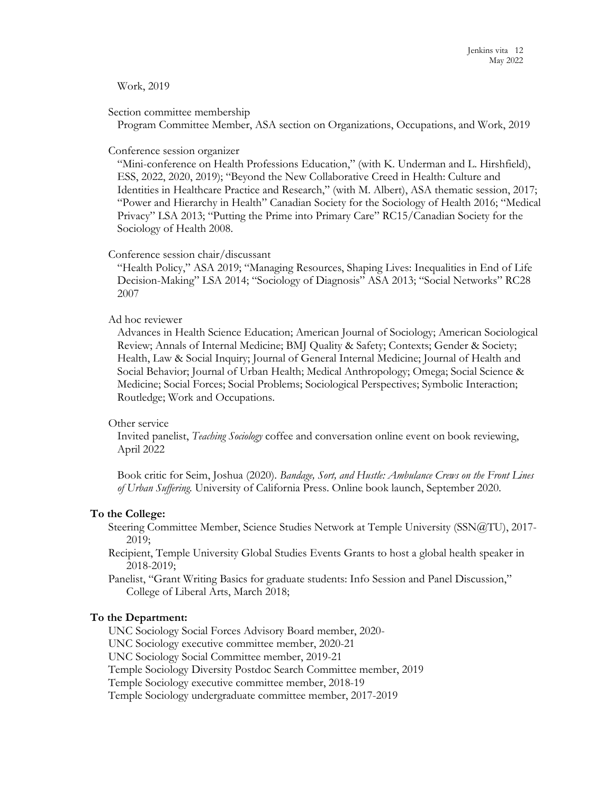## Work, 2019

## Section committee membership

Program Committee Member, ASA section on Organizations, Occupations, and Work, 2019

## Conference session organizer

"Mini-conference on Health Professions Education," (with K. Underman and L. Hirshfield), ESS, 2022, 2020, 2019); "Beyond the New Collaborative Creed in Health: Culture and Identities in Healthcare Practice and Research," (with M. Albert), ASA thematic session, 2017; "Power and Hierarchy in Health" Canadian Society for the Sociology of Health 2016; "Medical Privacy" LSA 2013; "Putting the Prime into Primary Care" RC15/Canadian Society for the Sociology of Health 2008.

## Conference session chair/discussant

"Health Policy," ASA 2019; "Managing Resources, Shaping Lives: Inequalities in End of Life Decision-Making" LSA 2014; "Sociology of Diagnosis" ASA 2013; "Social Networks" RC28 2007

## Ad hoc reviewer

Advances in Health Science Education; American Journal of Sociology; American Sociological Review; Annals of Internal Medicine; BMJ Quality & Safety; Contexts; Gender & Society; Health, Law & Social Inquiry; Journal of General Internal Medicine; Journal of Health and Social Behavior; Journal of Urban Health; Medical Anthropology; Omega; Social Science & Medicine; Social Forces; Social Problems; Sociological Perspectives; Symbolic Interaction; Routledge; Work and Occupations.

## Other service

Invited panelist, *Teaching Sociology* coffee and conversation online event on book reviewing, April 2022

Book critic for Seim, Joshua (2020). *Bandage, Sort, and Hustle: Ambulance Crews on the Front Lines of Urban Suffering.* University of California Press. Online book launch, September 2020.

## **To the College:**

- Steering Committee Member, Science Studies Network at Temple University (SSN@TU), 2017- 2019;
- Recipient, Temple University Global Studies Events Grants to host a global health speaker in 2018-2019;
- Panelist, "Grant Writing Basics for graduate students: Info Session and Panel Discussion," College of Liberal Arts, March 2018;

# **To the Department:**

UNC Sociology Social Forces Advisory Board member, 2020- UNC Sociology executive committee member, 2020-21 UNC Sociology Social Committee member, 2019-21 Temple Sociology Diversity Postdoc Search Committee member, 2019 Temple Sociology executive committee member, 2018-19 Temple Sociology undergraduate committee member, 2017-2019